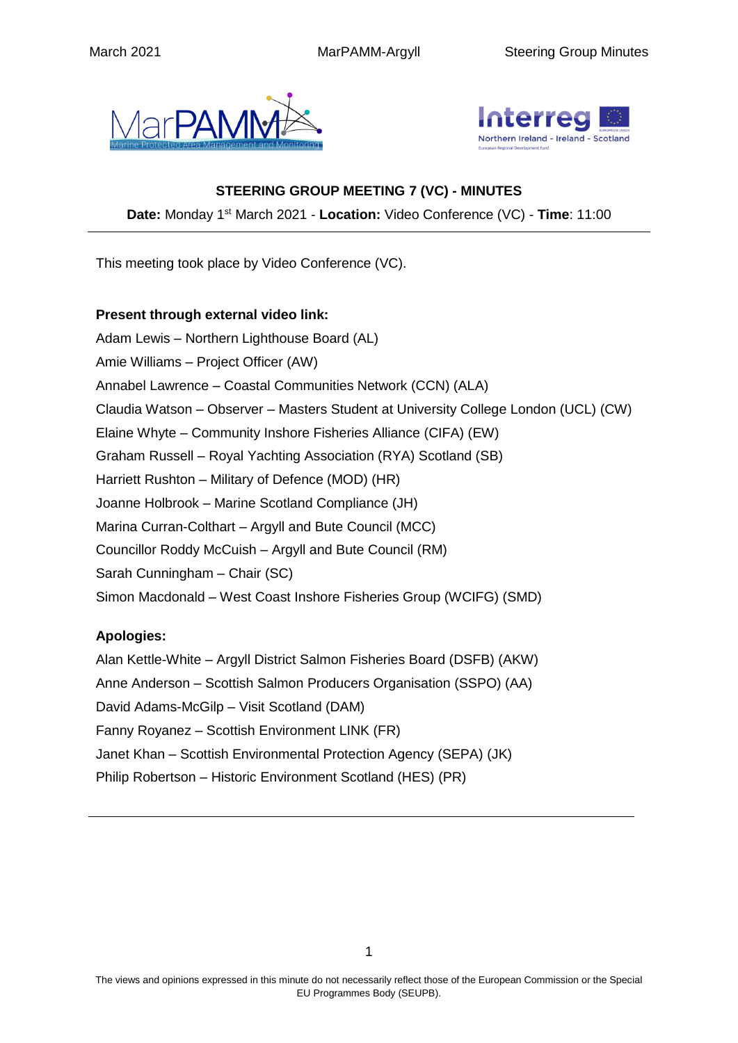



#### **STEERING GROUP MEETING 7 (VC) - MINUTES**

**Date:** Monday 1st March 2021 - **Location:** Video Conference (VC) - **Time**: 11:00

This meeting took place by Video Conference (VC).

#### **Present through external video link:**

Adam Lewis – Northern Lighthouse Board (AL) Amie Williams – Project Officer (AW) Annabel Lawrence – Coastal Communities Network (CCN) (ALA) Claudia Watson – Observer – Masters Student at University College London (UCL) (CW) Elaine Whyte – Community Inshore Fisheries Alliance (CIFA) (EW) Graham Russell – Royal Yachting Association (RYA) Scotland (SB) Harriett Rushton – Military of Defence (MOD) (HR) Joanne Holbrook – Marine Scotland Compliance (JH) Marina Curran-Colthart – Argyll and Bute Council (MCC) Councillor Roddy McCuish – Argyll and Bute Council (RM) Sarah Cunningham – Chair (SC) Simon Macdonald – West Coast Inshore Fisheries Group (WCIFG) (SMD)

## **Apologies:**

Alan Kettle-White – Argyll District Salmon Fisheries Board (DSFB) (AKW) Anne Anderson – Scottish Salmon Producers Organisation (SSPO) (AA) David Adams-McGilp – Visit Scotland (DAM) Fanny Royanez – Scottish Environment LINK (FR) Janet Khan – Scottish Environmental Protection Agency (SEPA) (JK) Philip Robertson – Historic Environment Scotland (HES) (PR)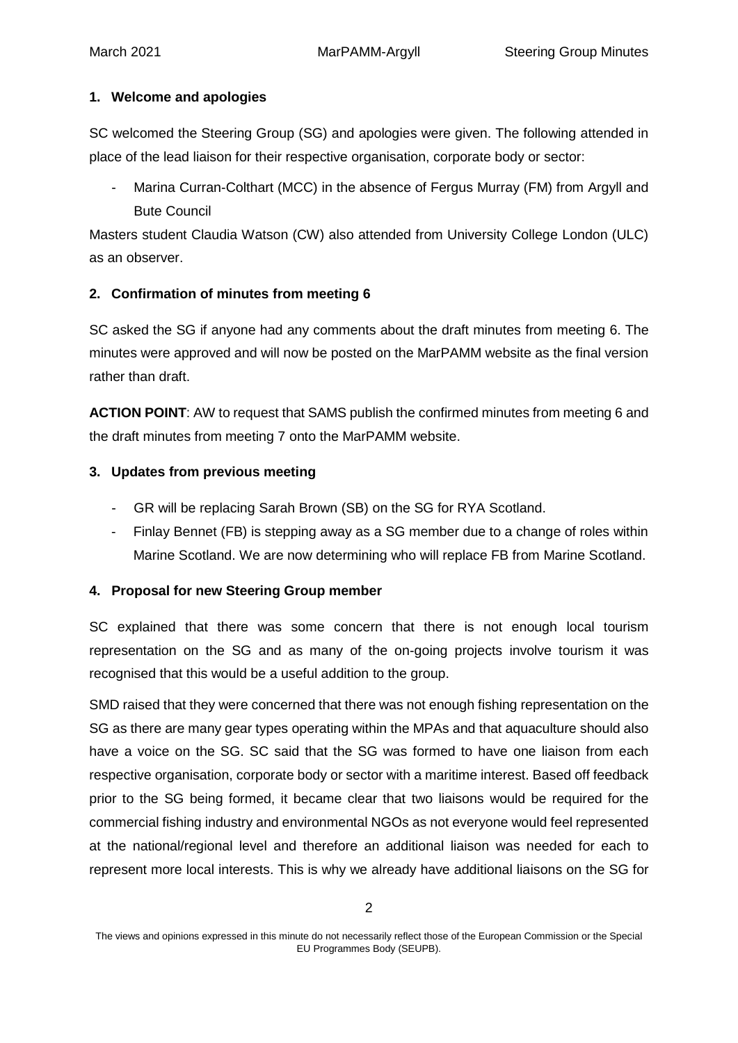#### **1. Welcome and apologies**

SC welcomed the Steering Group (SG) and apologies were given. The following attended in place of the lead liaison for their respective organisation, corporate body or sector:

Marina Curran-Colthart (MCC) in the absence of Fergus Murray (FM) from Argyll and Bute Council

Masters student Claudia Watson (CW) also attended from University College London (ULC) as an observer.

## **2. Confirmation of minutes from meeting 6**

SC asked the SG if anyone had any comments about the draft minutes from meeting 6. The minutes were approved and will now be posted on the MarPAMM website as the final version rather than draft.

**ACTION POINT**: AW to request that SAMS publish the confirmed minutes from meeting 6 and the draft minutes from meeting 7 onto the MarPAMM website.

#### **3. Updates from previous meeting**

- GR will be replacing Sarah Brown (SB) on the SG for RYA Scotland.
- Finlay Bennet (FB) is stepping away as a SG member due to a change of roles within Marine Scotland. We are now determining who will replace FB from Marine Scotland.

## **4. Proposal for new Steering Group member**

SC explained that there was some concern that there is not enough local tourism representation on the SG and as many of the on-going projects involve tourism it was recognised that this would be a useful addition to the group.

SMD raised that they were concerned that there was not enough fishing representation on the SG as there are many gear types operating within the MPAs and that aquaculture should also have a voice on the SG. SC said that the SG was formed to have one liaison from each respective organisation, corporate body or sector with a maritime interest. Based off feedback prior to the SG being formed, it became clear that two liaisons would be required for the commercial fishing industry and environmental NGOs as not everyone would feel represented at the national/regional level and therefore an additional liaison was needed for each to represent more local interests. This is why we already have additional liaisons on the SG for

The views and opinions expressed in this minute do not necessarily reflect those of the European Commission or the Special EU Programmes Body (SEUPB).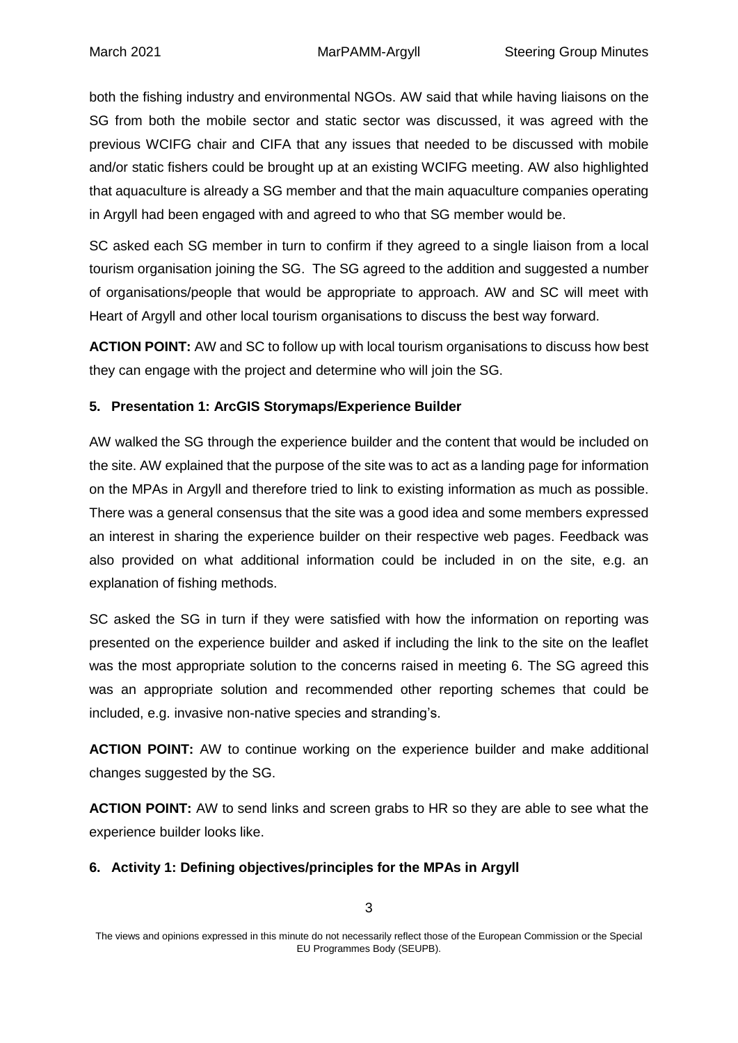both the fishing industry and environmental NGOs. AW said that while having liaisons on the SG from both the mobile sector and static sector was discussed, it was agreed with the previous WCIFG chair and CIFA that any issues that needed to be discussed with mobile and/or static fishers could be brought up at an existing WCIFG meeting. AW also highlighted that aquaculture is already a SG member and that the main aquaculture companies operating in Argyll had been engaged with and agreed to who that SG member would be.

SC asked each SG member in turn to confirm if they agreed to a single liaison from a local tourism organisation joining the SG. The SG agreed to the addition and suggested a number of organisations/people that would be appropriate to approach. AW and SC will meet with Heart of Argyll and other local tourism organisations to discuss the best way forward.

**ACTION POINT:** AW and SC to follow up with local tourism organisations to discuss how best they can engage with the project and determine who will join the SG.

## **5. Presentation 1: ArcGIS Storymaps/Experience Builder**

AW walked the SG through the experience builder and the content that would be included on the site. AW explained that the purpose of the site was to act as a landing page for information on the MPAs in Argyll and therefore tried to link to existing information as much as possible. There was a general consensus that the site was a good idea and some members expressed an interest in sharing the experience builder on their respective web pages. Feedback was also provided on what additional information could be included in on the site, e.g. an explanation of fishing methods.

SC asked the SG in turn if they were satisfied with how the information on reporting was presented on the experience builder and asked if including the link to the site on the leaflet was the most appropriate solution to the concerns raised in meeting 6. The SG agreed this was an appropriate solution and recommended other reporting schemes that could be included, e.g. invasive non-native species and stranding's.

**ACTION POINT:** AW to continue working on the experience builder and make additional changes suggested by the SG.

**ACTION POINT:** AW to send links and screen grabs to HR so they are able to see what the experience builder looks like.

## **6. Activity 1: Defining objectives/principles for the MPAs in Argyll**

The views and opinions expressed in this minute do not necessarily reflect those of the European Commission or the Special EU Programmes Body (SEUPB).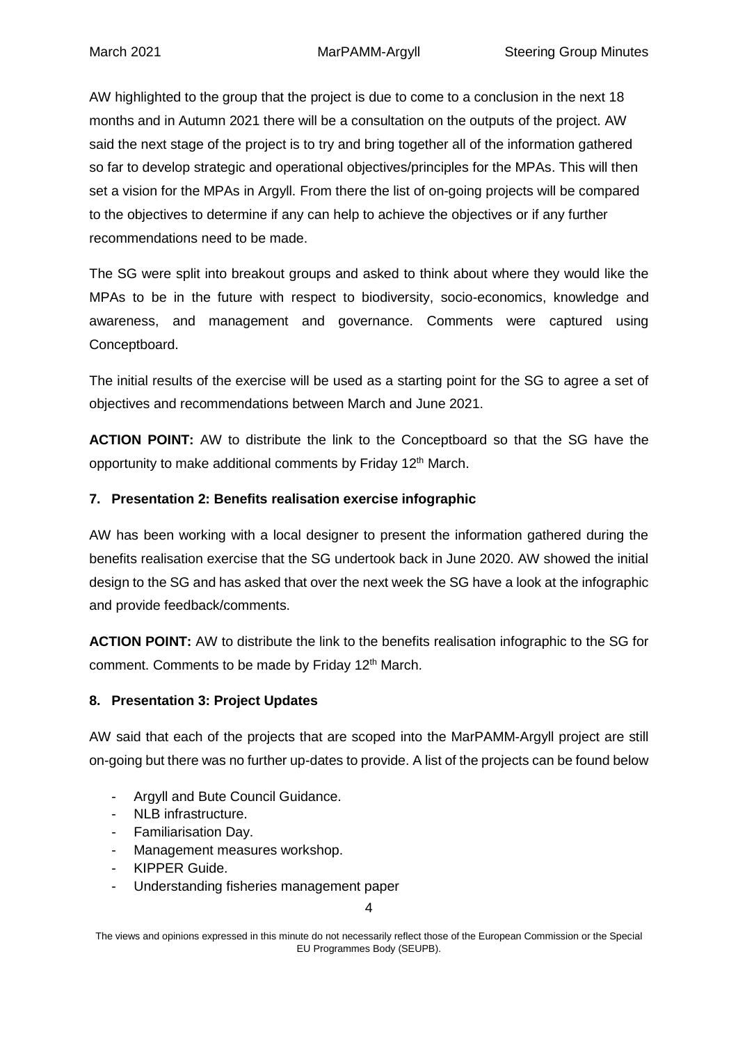AW highlighted to the group that the project is due to come to a conclusion in the next 18 months and in Autumn 2021 there will be a consultation on the outputs of the project. AW said the next stage of the project is to try and bring together all of the information gathered so far to develop strategic and operational objectives/principles for the MPAs. This will then set a vision for the MPAs in Argyll. From there the list of on-going projects will be compared to the objectives to determine if any can help to achieve the objectives or if any further recommendations need to be made.

The SG were split into breakout groups and asked to think about where they would like the MPAs to be in the future with respect to biodiversity, socio-economics, knowledge and awareness, and management and governance. Comments were captured using Conceptboard.

The initial results of the exercise will be used as a starting point for the SG to agree a set of objectives and recommendations between March and June 2021.

**ACTION POINT:** AW to distribute the link to the Conceptboard so that the SG have the opportunity to make additional comments by Friday 12<sup>th</sup> March.

## **7. Presentation 2: Benefits realisation exercise infographic**

AW has been working with a local designer to present the information gathered during the benefits realisation exercise that the SG undertook back in June 2020. AW showed the initial design to the SG and has asked that over the next week the SG have a look at the infographic and provide feedback/comments.

**ACTION POINT:** AW to distribute the link to the benefits realisation infographic to the SG for comment. Comments to be made by Friday 12<sup>th</sup> March.

## **8. Presentation 3: Project Updates**

AW said that each of the projects that are scoped into the MarPAMM-Argyll project are still on-going but there was no further up-dates to provide. A list of the projects can be found below

- Argyll and Bute Council Guidance.
- NLB infrastructure.
- Familiarisation Day.
- Management measures workshop.
- KIPPER Guide.
- Understanding fisheries management paper

4

The views and opinions expressed in this minute do not necessarily reflect those of the European Commission or the Special EU Programmes Body (SEUPB).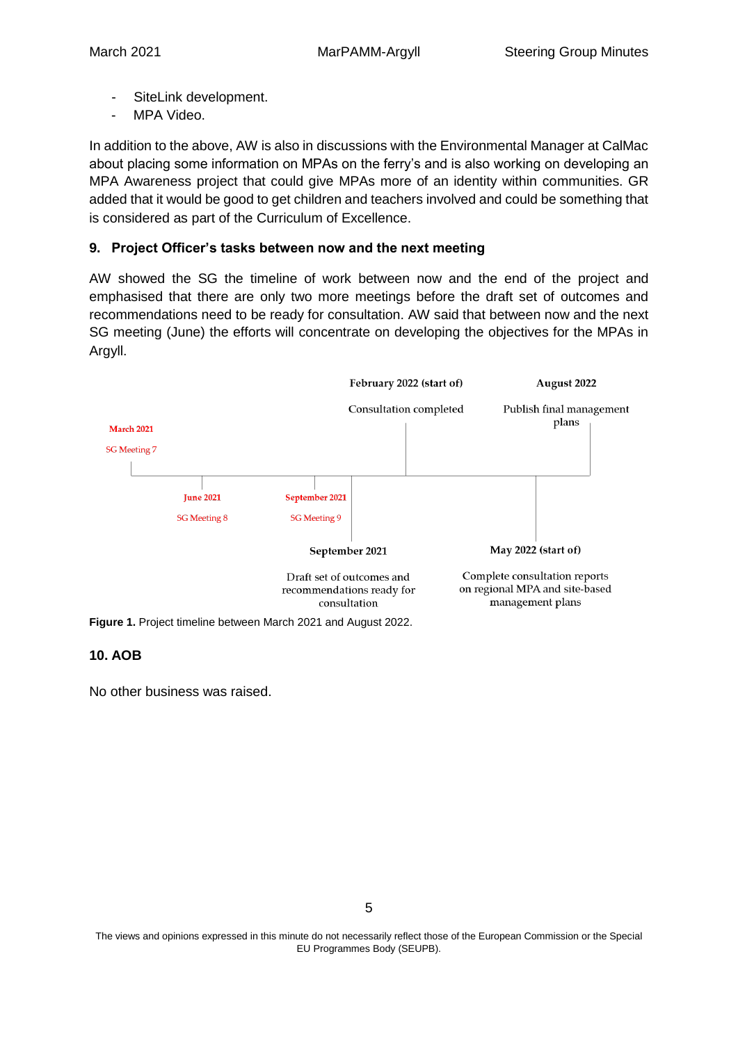- SiteLink development.
- MPA Video.

In addition to the above, AW is also in discussions with the Environmental Manager at CalMac about placing some information on MPAs on the ferry's and is also working on developing an MPA Awareness project that could give MPAs more of an identity within communities. GR added that it would be good to get children and teachers involved and could be something that is considered as part of the Curriculum of Excellence.

#### **9. Project Officer's tasks between now and the next meeting**

AW showed the SG the timeline of work between now and the end of the project and emphasised that there are only two more meetings before the draft set of outcomes and recommendations need to be ready for consultation. AW said that between now and the next SG meeting (June) the efforts will concentrate on developing the objectives for the MPAs in Argyll.



**Figure 1.** Project timeline between March 2021 and August 2022.

#### **10. AOB**

No other business was raised.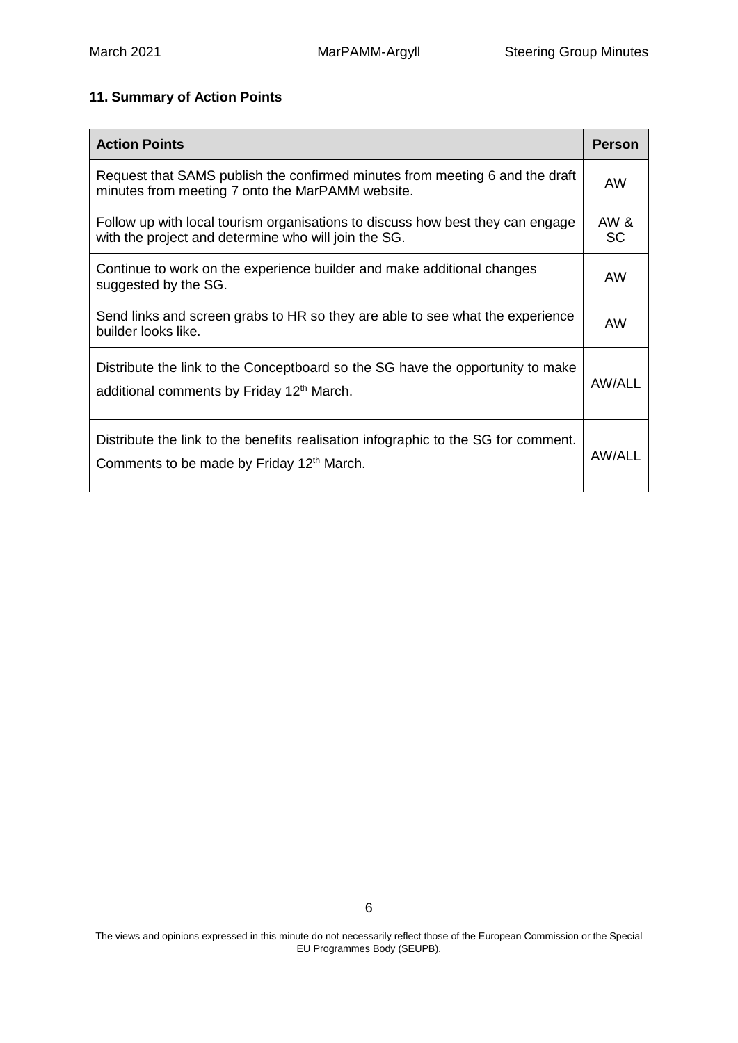# **11. Summary of Action Points**

| <b>Action Points</b>                                                                                                                        | Person            |
|---------------------------------------------------------------------------------------------------------------------------------------------|-------------------|
| Request that SAMS publish the confirmed minutes from meeting 6 and the draft<br>minutes from meeting 7 onto the MarPAMM website.            | <b>AW</b>         |
| Follow up with local tourism organisations to discuss how best they can engage<br>with the project and determine who will join the SG.      | AW &<br><b>SC</b> |
| Continue to work on the experience builder and make additional changes<br>suggested by the SG.                                              | <b>AW</b>         |
| Send links and screen grabs to HR so they are able to see what the experience<br>builder looks like.                                        | AW                |
| Distribute the link to the Conceptboard so the SG have the opportunity to make<br>additional comments by Friday 12 <sup>th</sup> March.     | <b>AW/ALL</b>     |
| Distribute the link to the benefits realisation infographic to the SG for comment.<br>Comments to be made by Friday 12 <sup>th</sup> March. | AW/ALL            |

The views and opinions expressed in this minute do not necessarily reflect those of the European Commission or the Special EU Programmes Body (SEUPB).